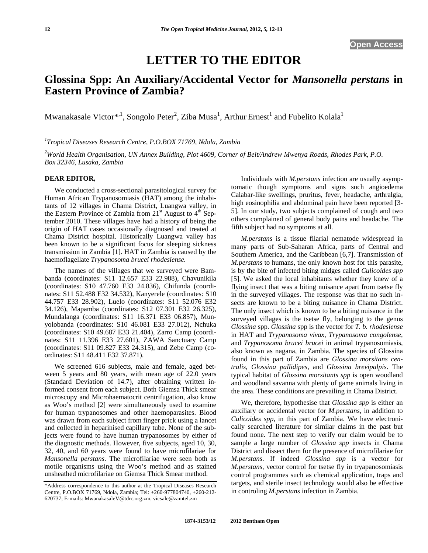# **LETTER TO THE EDITOR**

# **Glossina Spp: An Auxiliary/Accidental Vector for** *Mansonella perstans* **in Eastern Province of Zambia?**

Mwanakasale Victor $^{*,1}$ , Songolo Peter $^2$ , Ziba Musa $^1$ , Arthur Ernest $^1$  and Fubelito Kolala $^1$ 

*1 Tropical Diseases Research Centre, P.O.BOX 71769, Ndola, Zambia* 

*2 World Health Organisation, UN Annex Building, Plot 4609, Corner of Beit/Andrew Mwenya Roads, Rhodes Park, P.O. Box 32346, Lusaka, Zambia* 

#### **DEAR EDITOR,**

 We conducted a cross-sectional parasitological survey for Human African Trypanosomiasis (HAT) among the inhabitants of 12 villages in Chama District, Luangwa valley, in the Eastern Province of Zambia from  $21<sup>st</sup>$  August to  $4<sup>th</sup>$  September 2010. These villages have had a history of being the origin of HAT cases occasionally diagnosed and treated at Chama District hospital. Historically Luangwa valley has been known to be a significant focus for sleeping sickness transmission in Zambia [1]. HAT in Zambia is caused by the haemoflagellate *Trypanosoma brucei rhodesiense.* 

The names of the villages that we surveyed were Bambanda (coordinates: S11 12.657 E33 22.988), Chavunikila (coordinates: S10 47.760 E33 24.836), Chifunda (coordinates: S11 52.488 E32 34.532), Kanyerele (coordinates: S10 44.757 E33 28.902), Luelo (coordinates: S11 52.076 E32 34.126), Mapamba (coordinates: S12 07.301 E32 26.325), Mundalanga (coordinates: S11 16.371 E33 06.857), Munyolobanda (coordinates: S10 46.081 E33 27.012), Nchuka (coordinates: S10 49.687 E33 21.404), Zarro Camp (coordinates: S11 11.396 E33 27.601), ZAWA Sanctuary Camp (coordinates: S11 09.827 E33 24.315), and Zebe Camp (coordinates: S11 48.411 E32 37.871).

 We screened 616 subjects, male and female, aged between 5 years and 80 years, with mean age of 22.0 years (Standard Deviation of 14.7), after obtaining written informed consent from each subject. Both Giemsa Thick smear microscopy and Microhaematocrit centrifugation, also know as Woo's method [2] were simultaneously used to examine for human trypanosomes and other haemoparasites. Blood was drawn from each subject from finger prick using a lancet and collected in heparinised capillary tube. None of the subjects were found to have human trypanosomes by either of the diagnostic methods. However, five subjects, aged 10, 30, 32, 40, and 60 years were found to have microfilariae for *Mansonella perstans*. The microfilariae were seen both as motile organisms using the Woo's method and as stained unsheathed microfilariae on Giemsa Thick Smear method.

 Individuals with *M.perstans* infection are usually asymptomatic though symptoms and signs such angioedema Calabar-like swellings, pruritus, fever, headache, arthralgia, high eosinophilia and abdominal pain have been reported [3- 5]. In our study, two subjects complained of cough and two others complained of general body pains and headache. The fifth subject had no symptoms at all.

 *M.perstans* is a tissue filarial nematode widespread in many parts of Sub-Saharan Africa, parts of Central and Southern America, and the Caribbean [6,7]. Transmission of *M.perstans* to humans, the only known host for this parasite, is by the bite of infected biting midges called *Culicoides spp*  [5]. We asked the local inhabitants whether they knew of a flying insect that was a biting nuisance apart from tsetse fly in the surveyed villages. The response was that no such insects are known to be a biting nuisance in Chama District. The only insect which is known to be a biting nuisance in the surveyed villages is the tsetse fly, belonging to the genus *Glossina* spp. *Glossina* spp is the vector for *T. b. rhodesiense*  in HAT and *Trypanosoma vivax*, *Trypanosoma congolense*, and *Trypanosoma brucei brucei* in animal trypanosomiasis, also known as nagana, in Zambia*.* The species of Glossina found in this part of Zambia are *Glossina morsitans centralis*, *Glossina pallidipes*, and *Glossina brevipalpis*. The typical habitat of *Glossina morsitants spp* is open woodland and woodland savanna with plenty of game animals living in the area. These conditions are prevailing in Chama District.

 We, therefore, hypothesise that *Glossina spp* is either an auxiliary or accidental vector for *M.perstans,* in addition to *Culicoides spp,* in this part of Zambia. We have electronically searched literature for similar claims in the past but found none. The next step to verify our claim would be to sample a large number of *Glossina spp* insects in Chama District and dissect them for the presence of microfilariae for *M.perstans*. If indeed *Glossina spp* is a vector for *M.perstans*, vector control for tsetse fly in tryapanosomiasis control programmes such as chemical application, traps and targets, and sterile insect technology would also be effective in controling *M.perstans* infection in Zambia.

<sup>\*</sup>Address correspondence to this author at the Tropical Diseases Research Centre, P.O.BOX 71769, Ndola, Zambia; Tel: +260-977804740, +260-212- 620737; E-mails: MwanakasaleV@tdrc.org.zm, vicsale@zamtel.zm